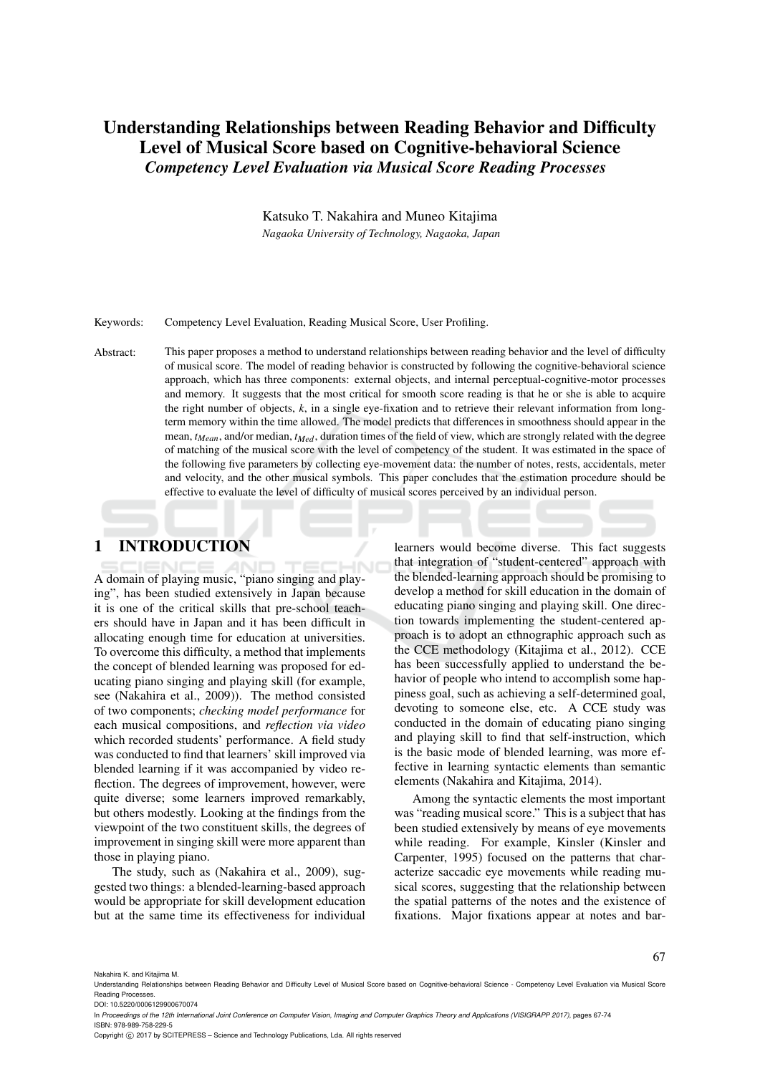# Understanding Relationships between Reading Behavior and Difficulty Level of Musical Score based on Cognitive-behavioral Science *Competency Level Evaluation via Musical Score Reading Processes*

Katsuko T. Nakahira and Muneo Kitajima *Nagaoka University of Technology, Nagaoka, Japan*

Keywords: Competency Level Evaluation, Reading Musical Score, User Profiling.

Abstract: This paper proposes a method to understand relationships between reading behavior and the level of difficulty of musical score. The model of reading behavior is constructed by following the cognitive-behavioral science approach, which has three components: external objects, and internal perceptual-cognitive-motor processes and memory. It suggests that the most critical for smooth score reading is that he or she is able to acquire the right number of objects, *k*, in a single eye-fixation and to retrieve their relevant information from longterm memory within the time allowed. The model predicts that differences in smoothness should appear in the mean, *tMean*, and/or median, *tMed*, duration times of the field of view, which are strongly related with the degree of matching of the musical score with the level of competency of the student. It was estimated in the space of the following five parameters by collecting eye-movement data: the number of notes, rests, accidentals, meter and velocity, and the other musical symbols. This paper concludes that the estimation procedure should be effective to evaluate the level of difficulty of musical scores perceived by an individual person.

# 1 INTRODUCTION

A domain of playing music, "piano singing and playing", has been studied extensively in Japan because it is one of the critical skills that pre-school teachers should have in Japan and it has been difficult in allocating enough time for education at universities. To overcome this difficulty, a method that implements the concept of blended learning was proposed for educating piano singing and playing skill (for example, see (Nakahira et al., 2009)). The method consisted of two components; *checking model performance* for each musical compositions, and *reflection via video* which recorded students' performance. A field study was conducted to find that learners' skill improved via blended learning if it was accompanied by video reflection. The degrees of improvement, however, were quite diverse; some learners improved remarkably, but others modestly. Looking at the findings from the viewpoint of the two constituent skills, the degrees of improvement in singing skill were more apparent than those in playing piano.

The study, such as (Nakahira et al., 2009), suggested two things: a blended-learning-based approach would be appropriate for skill development education but at the same time its effectiveness for individual

learners would become diverse. This fact suggests that integration of "student-centered" approach with the blended-learning approach should be promising to develop a method for skill education in the domain of educating piano singing and playing skill. One direction towards implementing the student-centered approach is to adopt an ethnographic approach such as the CCE methodology (Kitajima et al., 2012). CCE has been successfully applied to understand the behavior of people who intend to accomplish some happiness goal, such as achieving a self-determined goal, devoting to someone else, etc. A CCE study was conducted in the domain of educating piano singing and playing skill to find that self-instruction, which is the basic mode of blended learning, was more effective in learning syntactic elements than semantic elements (Nakahira and Kitajima, 2014).

Among the syntactic elements the most important was "reading musical score." This is a subject that has been studied extensively by means of eye movements while reading. For example, Kinsler (Kinsler and Carpenter, 1995) focused on the patterns that characterize saccadic eye movements while reading musical scores, suggesting that the relationship between the spatial patterns of the notes and the existence of fixations. Major fixations appear at notes and bar-

Nakahira K. and Kitajima M.

In *Proceedings of the 12th International Joint Conference on Computer Vision, Imaging and Computer Graphics Theory and Applications (VISIGRAPP 2017)*, pages 67-74

ISBN: 978-989-758-229-5

Copyright © 2017 by SCITEPRESS - Science and Technology Publications, Lda. All rights reserved

Understanding Relationships between Reading Behavior and Difficulty Level of Musical Score based on Cognitive-behavioral Science - Competency Level Evaluation via Musical Score Reading Processes. DOI: 10.5220/0006129900670074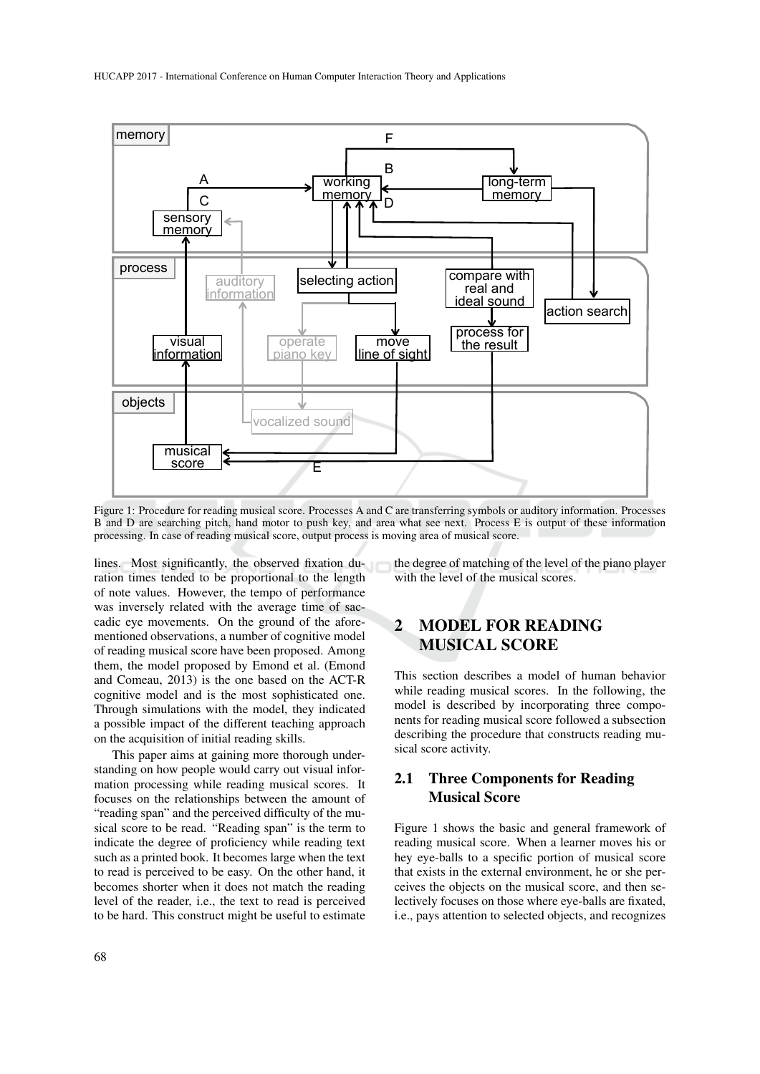

Figure 1: Procedure for reading musical score. Processes A and C are transferring symbols or auditory information. Processes B and D are searching pitch, hand motor to push key, and area what see next. Process E is output of these information processing. In case of reading musical score, output process is moving area of musical score.

lines. Most significantly, the observed fixation duration times tended to be proportional to the length of note values. However, the tempo of performance was inversely related with the average time of saccadic eye movements. On the ground of the aforementioned observations, a number of cognitive model of reading musical score have been proposed. Among them, the model proposed by Emond et al. (Emond and Comeau, 2013) is the one based on the ACT-R cognitive model and is the most sophisticated one. Through simulations with the model, they indicated a possible impact of the different teaching approach on the acquisition of initial reading skills.

This paper aims at gaining more thorough understanding on how people would carry out visual information processing while reading musical scores. It focuses on the relationships between the amount of "reading span" and the perceived difficulty of the musical score to be read. "Reading span" is the term to indicate the degree of proficiency while reading text such as a printed book. It becomes large when the text to read is perceived to be easy. On the other hand, it becomes shorter when it does not match the reading level of the reader, i.e., the text to read is perceived to be hard. This construct might be useful to estimate

the degree of matching of the level of the piano player with the level of the musical scores.

# 2 MODEL FOR READING MUSICAL SCORE

This section describes a model of human behavior while reading musical scores. In the following, the model is described by incorporating three components for reading musical score followed a subsection describing the procedure that constructs reading musical score activity.

### 2.1 Three Components for Reading Musical Score

Figure 1 shows the basic and general framework of reading musical score. When a learner moves his or hey eye-balls to a specific portion of musical score that exists in the external environment, he or she perceives the objects on the musical score, and then selectively focuses on those where eye-balls are fixated, i.e., pays attention to selected objects, and recognizes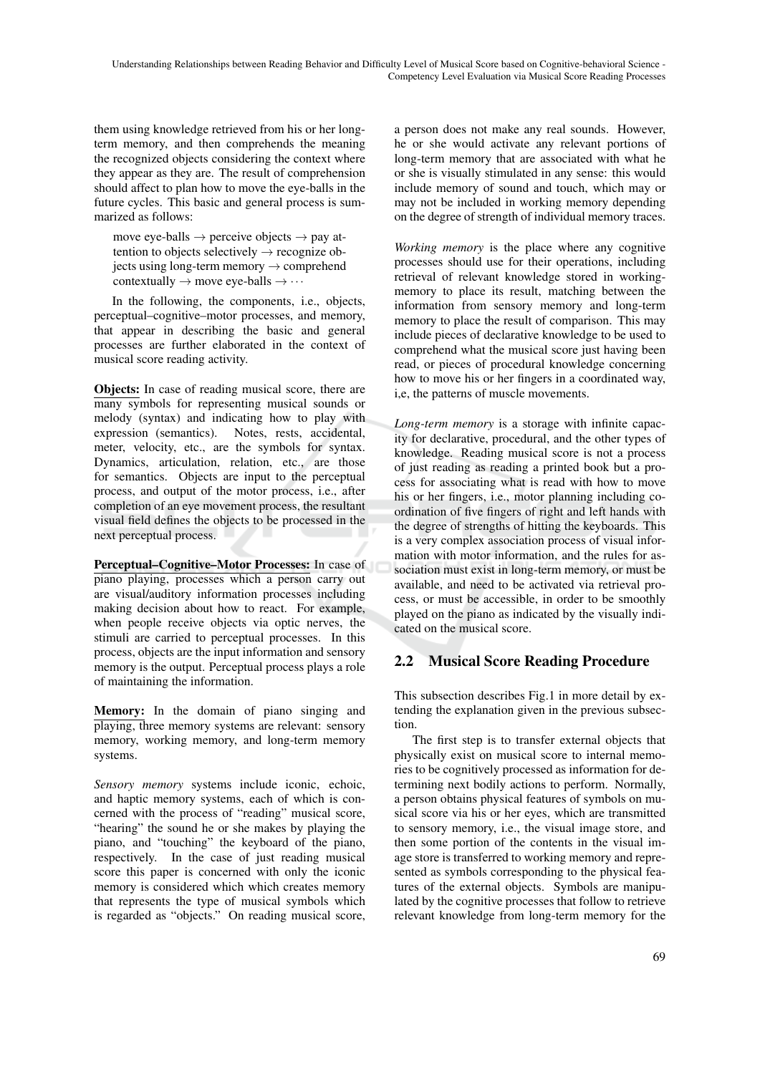them using knowledge retrieved from his or her longterm memory, and then comprehends the meaning the recognized objects considering the context where they appear as they are. The result of comprehension should affect to plan how to move the eye-balls in the future cycles. This basic and general process is summarized as follows:

move eye-balls  $\rightarrow$  perceive objects  $\rightarrow$  pay attention to objects selectively  $\rightarrow$  recognize objects using long-term memory  $\rightarrow$  comprehend contextually  $\rightarrow$  move eye-balls  $\rightarrow \cdots$ 

In the following, the components, i.e., objects, perceptual–cognitive–motor processes, and memory, that appear in describing the basic and general processes are further elaborated in the context of musical score reading activity.

Objects: In case of reading musical score, there are many symbols for representing musical sounds or melody (syntax) and indicating how to play with expression (semantics). Notes, rests, accidental, meter, velocity, etc., are the symbols for syntax. Dynamics, articulation, relation, etc., are those for semantics. Objects are input to the perceptual process, and output of the motor process, i.e., after completion of an eye movement process, the resultant visual field defines the objects to be processed in the next perceptual process.

Perceptual–Cognitive–Motor Processes: In case of piano playing, processes which a person carry out are visual/auditory information processes including making decision about how to react. For example, when people receive objects via optic nerves, the stimuli are carried to perceptual processes. In this process, objects are the input information and sensory memory is the output. Perceptual process plays a role of maintaining the information.

Memory: In the domain of piano singing and playing, three memory systems are relevant: sensory memory, working memory, and long-term memory systems.

*Sensory memory* systems include iconic, echoic, and haptic memory systems, each of which is concerned with the process of "reading" musical score, "hearing" the sound he or she makes by playing the piano, and "touching" the keyboard of the piano, respectively. In the case of just reading musical score this paper is concerned with only the iconic memory is considered which which creates memory that represents the type of musical symbols which is regarded as "objects." On reading musical score,

a person does not make any real sounds. However, he or she would activate any relevant portions of long-term memory that are associated with what he or she is visually stimulated in any sense: this would include memory of sound and touch, which may or may not be included in working memory depending on the degree of strength of individual memory traces.

*Working memory* is the place where any cognitive processes should use for their operations, including retrieval of relevant knowledge stored in workingmemory to place its result, matching between the information from sensory memory and long-term memory to place the result of comparison. This may include pieces of declarative knowledge to be used to comprehend what the musical score just having been read, or pieces of procedural knowledge concerning how to move his or her fingers in a coordinated way, i,e, the patterns of muscle movements.

*Long-term memory* is a storage with infinite capacity for declarative, procedural, and the other types of knowledge. Reading musical score is not a process of just reading as reading a printed book but a process for associating what is read with how to move his or her fingers, i.e., motor planning including coordination of five fingers of right and left hands with the degree of strengths of hitting the keyboards. This is a very complex association process of visual information with motor information, and the rules for association must exist in long-term memory, or must be available, and need to be activated via retrieval process, or must be accessible, in order to be smoothly played on the piano as indicated by the visually indicated on the musical score.

# 2.2 Musical Score Reading Procedure

This subsection describes Fig.1 in more detail by extending the explanation given in the previous subsection.

The first step is to transfer external objects that physically exist on musical score to internal memories to be cognitively processed as information for determining next bodily actions to perform. Normally, a person obtains physical features of symbols on musical score via his or her eyes, which are transmitted to sensory memory, i.e., the visual image store, and then some portion of the contents in the visual image store is transferred to working memory and represented as symbols corresponding to the physical features of the external objects. Symbols are manipulated by the cognitive processes that follow to retrieve relevant knowledge from long-term memory for the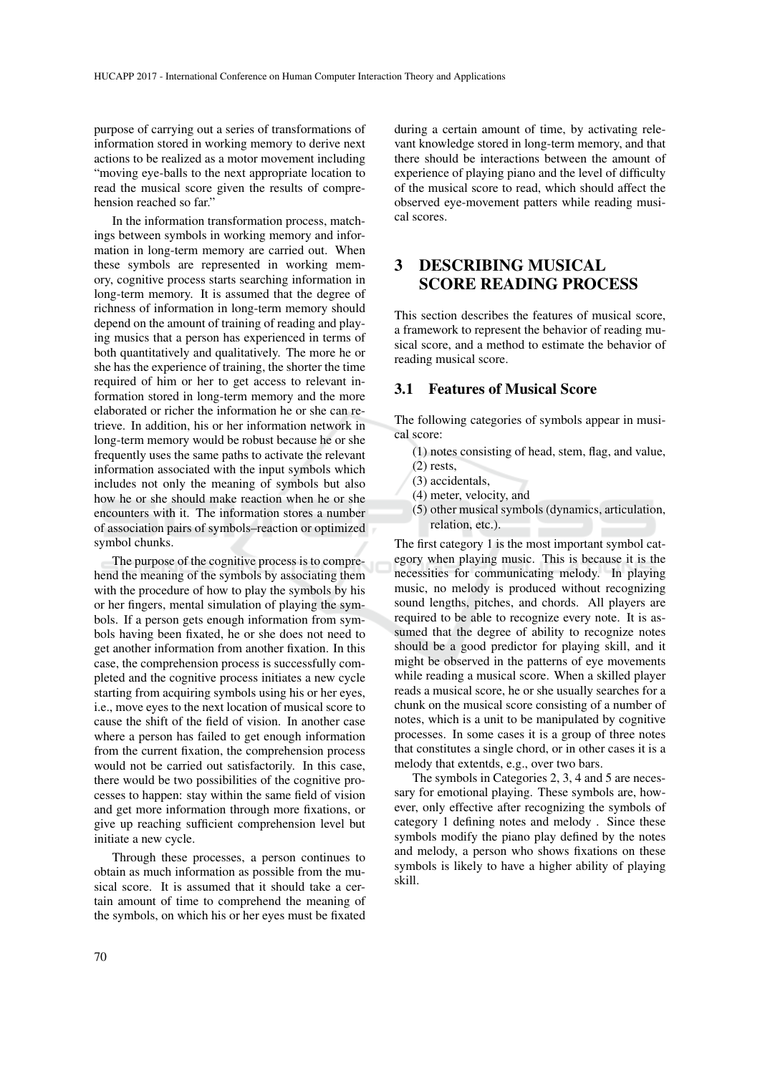purpose of carrying out a series of transformations of information stored in working memory to derive next actions to be realized as a motor movement including "moving eye-balls to the next appropriate location to read the musical score given the results of comprehension reached so far."

In the information transformation process, matchings between symbols in working memory and information in long-term memory are carried out. When these symbols are represented in working memory, cognitive process starts searching information in long-term memory. It is assumed that the degree of richness of information in long-term memory should depend on the amount of training of reading and playing musics that a person has experienced in terms of both quantitatively and qualitatively. The more he or she has the experience of training, the shorter the time required of him or her to get access to relevant information stored in long-term memory and the more elaborated or richer the information he or she can retrieve. In addition, his or her information network in long-term memory would be robust because he or she frequently uses the same paths to activate the relevant information associated with the input symbols which includes not only the meaning of symbols but also how he or she should make reaction when he or she encounters with it. The information stores a number of association pairs of symbols–reaction or optimized symbol chunks.

The purpose of the cognitive process is to comprehend the meaning of the symbols by associating them with the procedure of how to play the symbols by his or her fingers, mental simulation of playing the symbols. If a person gets enough information from symbols having been fixated, he or she does not need to get another information from another fixation. In this case, the comprehension process is successfully completed and the cognitive process initiates a new cycle starting from acquiring symbols using his or her eyes, i.e., move eyes to the next location of musical score to cause the shift of the field of vision. In another case where a person has failed to get enough information from the current fixation, the comprehension process would not be carried out satisfactorily. In this case, there would be two possibilities of the cognitive processes to happen: stay within the same field of vision and get more information through more fixations, or give up reaching sufficient comprehension level but initiate a new cycle.

Through these processes, a person continues to obtain as much information as possible from the musical score. It is assumed that it should take a certain amount of time to comprehend the meaning of the symbols, on which his or her eyes must be fixated during a certain amount of time, by activating relevant knowledge stored in long-term memory, and that there should be interactions between the amount of experience of playing piano and the level of difficulty of the musical score to read, which should affect the observed eye-movement patters while reading musical scores.

## 3 DESCRIBING MUSICAL SCORE READING PROCESS

This section describes the features of musical score, a framework to represent the behavior of reading musical score, and a method to estimate the behavior of reading musical score.

#### 3.1 Features of Musical Score

The following categories of symbols appear in musical score:

- (1) notes consisting of head, stem, flag, and value, (2) rests,
- (3) accidentals,
- (4) meter, velocity, and
- (5) other musical symbols (dynamics, articulation, relation, etc.).

The first category 1 is the most important symbol category when playing music. This is because it is the necessities for communicating melody. In playing music, no melody is produced without recognizing sound lengths, pitches, and chords. All players are required to be able to recognize every note. It is assumed that the degree of ability to recognize notes should be a good predictor for playing skill, and it might be observed in the patterns of eye movements while reading a musical score. When a skilled player reads a musical score, he or she usually searches for a chunk on the musical score consisting of a number of notes, which is a unit to be manipulated by cognitive processes. In some cases it is a group of three notes that constitutes a single chord, or in other cases it is a melody that extentds, e.g., over two bars.

The symbols in Categories 2, 3, 4 and 5 are necessary for emotional playing. These symbols are, however, only effective after recognizing the symbols of category 1 defining notes and melody . Since these symbols modify the piano play defined by the notes and melody, a person who shows fixations on these symbols is likely to have a higher ability of playing skill.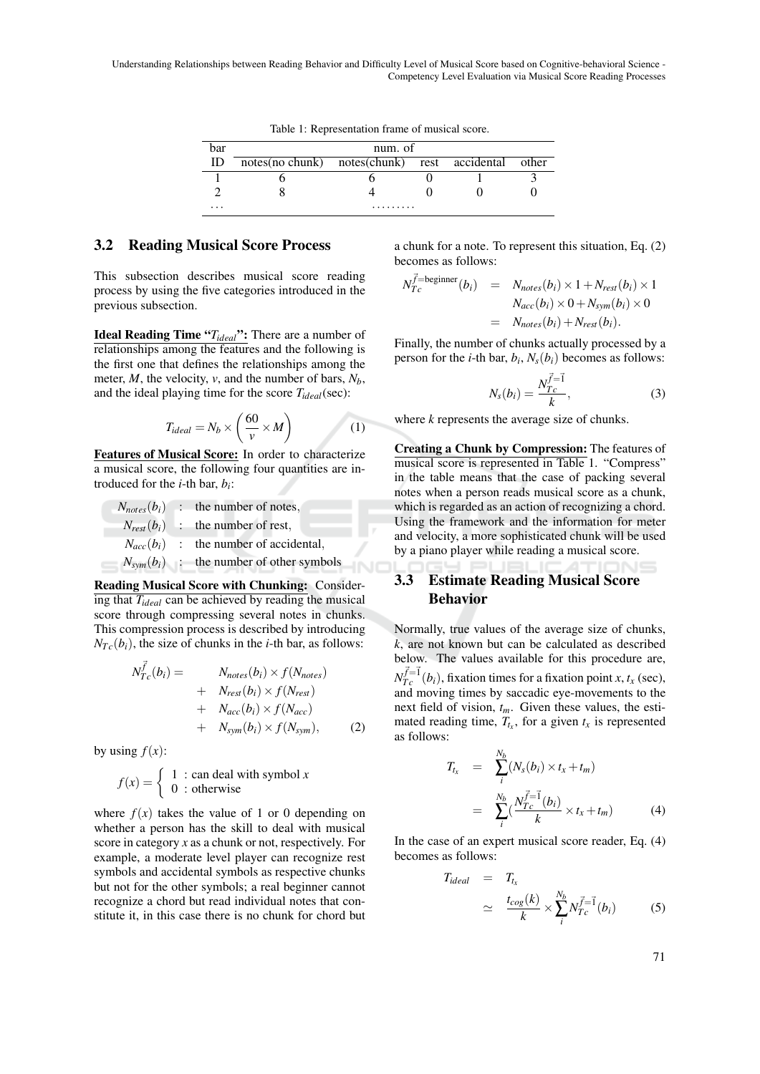Understanding Relationships between Reading Behavior and Difficulty Level of Musical Score based on Cognitive-behavioral Science - Competency Level Evaluation via Musical Score Reading Processes

|  | Table 1: Representation frame of musical score. |  |  |  |
|--|-------------------------------------------------|--|--|--|
|--|-------------------------------------------------|--|--|--|

| bar      | num. of                                      |  |  |  |       |  |
|----------|----------------------------------------------|--|--|--|-------|--|
| ID       | notes(no chunk) notes(chunk) rest accidental |  |  |  | other |  |
|          |                                              |  |  |  |       |  |
|          |                                              |  |  |  |       |  |
| $\cdots$ | .                                            |  |  |  |       |  |

#### 3.2 Reading Musical Score Process

This subsection describes musical score reading process by using the five categories introduced in the previous subsection.

Ideal Reading Time "*Tideal*": There are a number of relationships among the features and the following is the first one that defines the relationships among the meter, *M*, the velocity, *v*, and the number of bars, *Nb*, and the ideal playing time for the score *Tideal*(sec):

$$
T_{ideal} = N_b \times \left(\frac{60}{v} \times M\right) \tag{1}
$$

Features of Musical Score: In order to characterize a musical score, the following four quantities are introduced for the *i*-th bar, *b<sup>i</sup>* :

 $N_{notes}(b_i)$  : the number of notes,  $N_{rest}(b_i)$  : the number of rest,  $N_{acc}(b_i)$  : the number of accidental,  $N_{sym}(b_i)$  : the number of other symbols

Reading Musical Score with Chunking: Considering that *Tideal* can be achieved by reading the musical score through compressing several notes in chunks. This compression process is described by introducing  $N_{T_c}(b_i)$ , the size of chunks in the *i*-th bar, as follows:

$$
N_{Tc}^{\vec{f}}(b_i) = N_{notes}(b_i) \times f(N_{notes})
$$
  
+ 
$$
N_{rest}(b_i) \times f(N_{rest})
$$
  
+ 
$$
N_{acc}(b_i) \times f(N_{acc})
$$
  
+ 
$$
N_{sym}(b_i) \times f(N_{sym}),
$$
 (2)

by using  $f(x)$ :

$$
f(x) = \begin{cases} 1 : \text{can deal with symbol } x \\ 0 : \text{otherwise} \end{cases}
$$

where  $f(x)$  takes the value of 1 or 0 depending on whether a person has the skill to deal with musical score in category *x* as a chunk or not, respectively. For example, a moderate level player can recognize rest symbols and accidental symbols as respective chunks but not for the other symbols; a real beginner cannot recognize a chord but read individual notes that constitute it, in this case there is no chunk for chord but a chunk for a note. To represent this situation, Eq. (2) becomes as follows:

$$
N_{T_c}^{\vec{f}=\text{beginner}}(b_i) = N_{notes}(b_i) \times 1 + N_{rest}(b_i) \times 1
$$
  

$$
N_{acc}(b_i) \times 0 + N_{sym}(b_i) \times 0
$$
  

$$
= N_{notes}(b_i) + N_{rest}(b_i).
$$

Finally, the number of chunks actually processed by a person for the *i*-th bar,  $b_i$ ,  $N_s(b_i)$  becomes as follows:

$$
N_s(b_i) = \frac{N_{T_c}^{\vec{f} = \vec{1}}}{k},
$$
\n(3)

where *k* represents the average size of chunks.

Creating a Chunk by Compression: The features of musical score is represented in Table 1. "Compress" in the table means that the case of packing several notes when a person reads musical score as a chunk, which is regarded as an action of recognizing a chord. Using the framework and the information for meter and velocity, a more sophisticated chunk will be used by a piano player while reading a musical score.

### 3.3 Estimate Reading Musical Score Behavior

Normally, true values of the average size of chunks, *k*, are not known but can be calculated as described below. The values available for this procedure are,  $N_{Tc}^{\vec{f}=\vec{1}}(b_i)$ , fixation times for a fixation point *x*, *tx* (sec), and moving times by saccadic eye-movements to the next field of vision, *tm*. Given these values, the estimated reading time,  $T_{t_x}$ , for a given  $t_x$  is represented as follows:

$$
T_{t_x} = \sum_{i}^{N_b} (N_s(b_i) \times t_x + t_m)
$$
  
= 
$$
\sum_{i}^{N_b} (\frac{N_{Tc}^{\vec{f}=1}(b_i)}{k} \times t_x + t_m)
$$
(4)

In the case of an expert musical score reader, Eq. (4) becomes as follows:

$$
T_{ideal} = T_{t_x}
$$
  
\n
$$
\simeq \frac{t_{cog}(k)}{k} \times \sum_{i}^{N_b} N_{T_c}^{\vec{f} = 1}(b_i)
$$
 (5)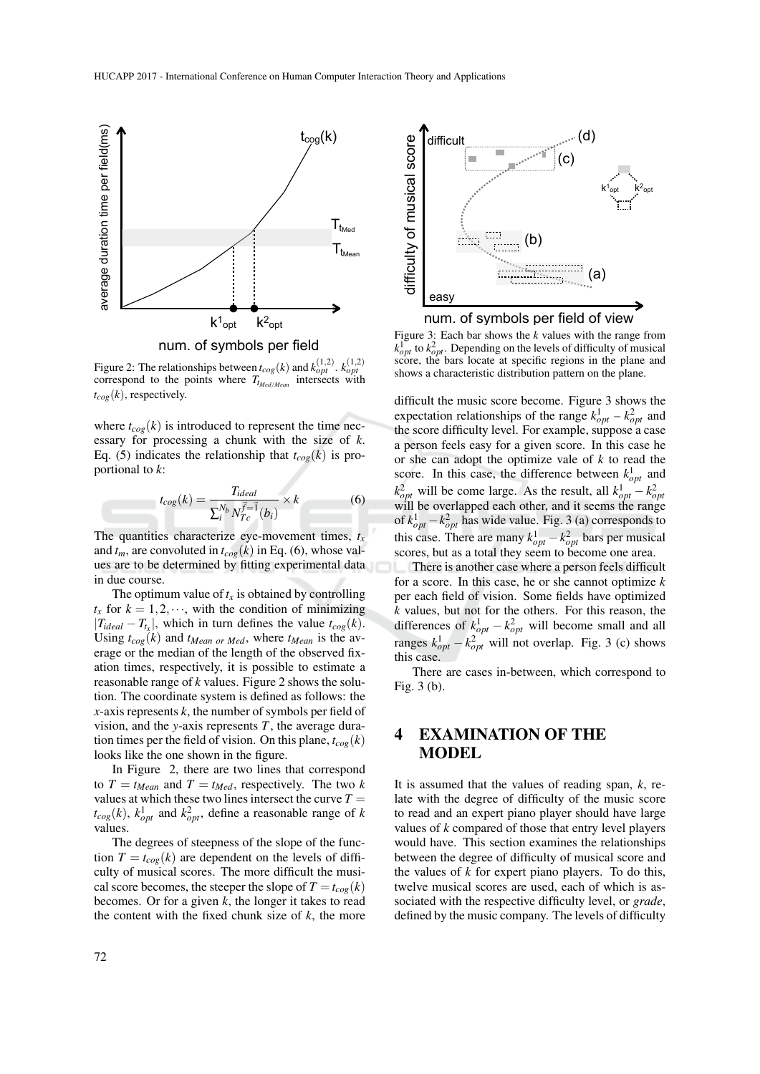

num. of symbols per field

Figure 2: The relationships between  $t_{cog}(k)$  and  $k_{opt}^{(1,2)}$ .  $k_{opt}^{(1,2)}$  correspond to the points where  $T_{t_{Med/Mean}}$  intersects with  $t_{cog}(k)$ , respectively.

where  $t_{\text{cog}}(k)$  is introduced to represent the time necessary for processing a chunk with the size of *k*. Eq. (5) indicates the relationship that  $t_{cog}(k)$  is proportional to *k*:

$$
t_{cog}(k) = \frac{T_{ideal}}{\sum_{i}^{N_b} N_{Tc}^{\vec{f} = 1}(b_i)} \times k \tag{6}
$$

The quantities characterize eye-movement times,  $t_x$ and  $t_m$ , are convoluted in  $t_{\text{cog}}(k)$  in Eq. (6), whose values are to be determined by fitting experimental data in due course.

The optimum value of  $t_x$  is obtained by controlling  $t_x$  for  $k = 1, 2, \dots$ , with the condition of minimizing  $|T_{ideal} - T_{t_x}|$ , which in turn defines the value  $t_{cog}(k)$ . Using  $t_{cog}(k)$  and  $t_{Mean\ or\ Med}$ , where  $t_{Mean}$  is the average or the median of the length of the observed fixation times, respectively, it is possible to estimate a reasonable range of *k* values. Figure 2 shows the solution. The coordinate system is defined as follows: the *x*-axis represents *k*, the number of symbols per field of vision, and the *y*-axis represents *T*, the average duration times per the field of vision. On this plane,  $t_{\text{cog}}(k)$ looks like the one shown in the figure.

In Figure 2, there are two lines that correspond to  $T = t_{Mean}$  and  $T = t_{Med}$ , respectively. The two *k* values at which these two lines intersect the curve  $T =$  $t_{cog}(k)$ ,  $k_{opt}^1$  and  $k_{opt}^2$ , define a reasonable range of *k* values.

The degrees of steepness of the slope of the function  $T = t_{\text{cog}}(k)$  are dependent on the levels of difficulty of musical scores. The more difficult the musical score becomes, the steeper the slope of  $T = t_{\text{co}}(k)$ becomes. Or for a given *k*, the longer it takes to read



num. of symbols per field of view

Figure 3: Each bar shows the *k* values with the range from  $k_{opt}^1$  to  $k_{opt}^2$ . Depending on the levels of difficulty of musical score, the bars locate at specific regions in the plane and shows a characteristic distribution pattern on the plane.

difficult the music score become. Figure 3 shows the expectation relationships of the range  $k_{opt}^1 - k_{opt}^2$  and the score difficulty level. For example, suppose a case a person feels easy for a given score. In this case he or she can adopt the optimize vale of *k* to read the score. In this case, the difference between  $k_{opt}^1$  and  $k_{opt}^2$  will be come large. As the result, all  $k_{opt}^1 - k_{opt}^2$ will be overlapped each other, and it seems the range of  $k_{opt}^1 - k_{opt}^2$  has wide value. Fig. 3 (a) corresponds to this case. There are many  $k_{opt}^1 - k_{opt}^2$  bars per musical scores, but as a total they seem to become one area.

There is another case where a person feels difficult for a score. In this case, he or she cannot optimize *k* per each field of vision. Some fields have optimized *k* values, but not for the others. For this reason, the differences of  $k_{opt}^1 - k_{opt}^2$  will become small and all ranges  $k_{opt}^1 - k_{opt}^2$  will not overlap. Fig. 3 (c) shows this case.

There are cases in-between, which correspond to Fig. 3 (b).

## 4 EXAMINATION OF THE MODEL

It is assumed that the values of reading span, *k*, relate with the degree of difficulty of the music score to read and an expert piano player should have large values of *k* compared of those that entry level players would have. This section examines the relationships between the degree of difficulty of musical score and the values of *k* for expert piano players. To do this, twelve musical scores are used, each of which is associated with the respective difficulty level, or *grade*, defined by the music company. The levels of difficulty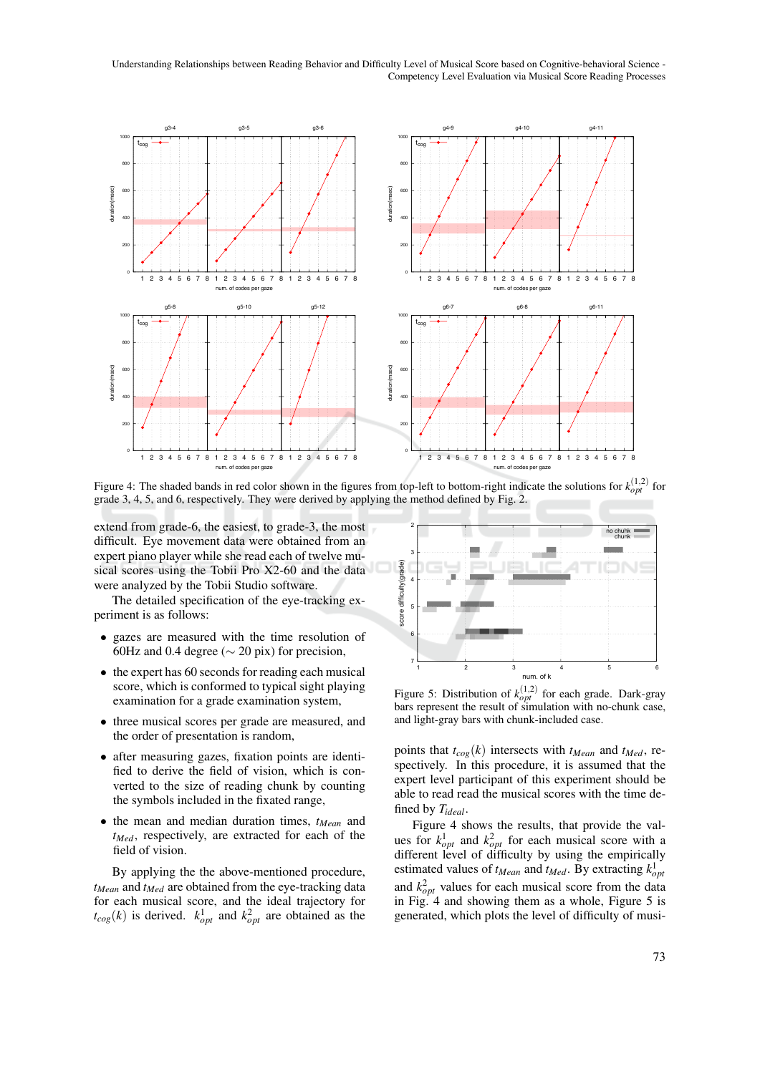Understanding Relationships between Reading Behavior and Difficulty Level of Musical Score based on Cognitive-behavioral Science -Competency Level Evaluation via Musical Score Reading Processes



Figure 4: The shaded bands in red color shown in the figures from top-left to bottom-right indicate the solutions for  $k_{opt}^{(1,2)}$  for grade 3, 4, 5, and 6, respectively. They were derived by applying the method defined by Fig. 2

extend from grade-6, the easiest, to grade-3, the most difficult. Eye movement data were obtained from an expert piano player while she read each of twelve musical scores using the Tobii Pro X2-60 and the data were analyzed by the Tobii Studio software.

The detailed specification of the eye-tracking experiment is as follows:

- gazes are measured with the time resolution of 60Hz and 0.4 degree ( $\sim$  20 pix) for precision.
- the expert has 60 seconds for reading each musical score, which is conformed to typical sight playing examination for a grade examination system,
- three musical scores per grade are measured, and the order of presentation is random,
- after measuring gazes, fixation points are identified to derive the field of vision, which is converted to the size of reading chunk by counting the symbols included in the fixated range,
- $\bullet$  the mean and median duration times,  $t_{Mean}$  and  $t_{Med}$ , respectively, are extracted for each of the field of vision.

By applying the the above-mentioned procedure,  $t_{Mean}$  and  $t_{Med}$  are obtained from the eye-tracking data for each musical score, and the ideal trajectory for  $t_{cog}(k)$  is derived.  $k_{opt}^1$  and  $k_{opt}^2$  are obtained as the



Figure 5: Distribution of  $k_{opt}^{(1,2)}$  for each grade. Dark-gray bars represent the result of simulation with no-chunk case, and light-gray bars with chunk-included case.

points that  $t_{cog}(k)$  intersects with  $t_{Mean}$  and  $t_{Med}$ , respectively. In this procedure, it is assumed that the expert level participant of this experiment should be able to read read the musical scores with the time defined by  $T_{ideal}$ .

Figure 4 shows the results, that provide the values for  $k_{opt}^1$  and  $k_{opt}^2$  for each musical score with a different level of difficulty by using the empirically estimated values of  $t_{Mean}$  and  $t_{Med}$ . By extracting  $k_{opt}^1$ and  $k_{opt}^2$  values for each musical score from the data in Fig. 4 and showing them as a whole, Figure 5 is generated, which plots the level of difficulty of musi